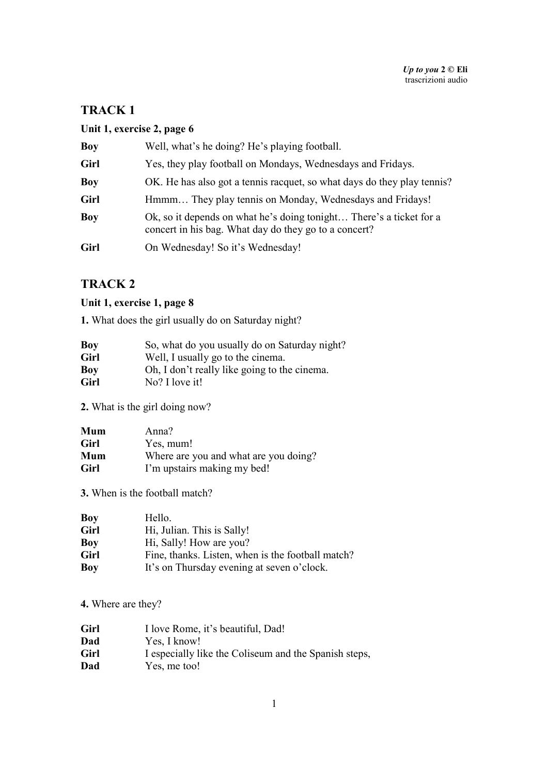# **Unit 1, exercise 2, page 6**

| <b>Boy</b> | Well, what's he doing? He's playing football.                                                                                |
|------------|------------------------------------------------------------------------------------------------------------------------------|
| Girl       | Yes, they play football on Mondays, Wednesdays and Fridays.                                                                  |
| Boy        | OK. He has also got a tennis racquet, so what days do they play tennis?                                                      |
| Girl       | Hmmm They play tennis on Monday, Wednesdays and Fridays!                                                                     |
| Boy        | Ok, so it depends on what he's doing tonight There's a ticket for a<br>concert in his bag. What day do they go to a concert? |
| Girl       | On Wednesday! So it's Wednesday!                                                                                             |

# **TRACK 2**

# **Unit 1, exercise 1, page 8**

**1.** What does the girl usually do on Saturday night?

| Boy  | So, what do you usually do on Saturday night? |
|------|-----------------------------------------------|
| Girl | Well, I usually go to the cinema.             |
| Boy  | Oh, I don't really like going to the cinema.  |
| Girl | No? I love it!                                |

**2.** What is the girl doing now?

| Mum  | Anna?                                 |
|------|---------------------------------------|
| Girl | Yes, mum!                             |
| Mum  | Where are you and what are you doing? |
| Girl | I'm upstairs making my bed!           |

**3.** When is the football match?

| Boy  | Hello.                                            |
|------|---------------------------------------------------|
| Girl | Hi, Julian. This is Sally!                        |
| Boy  | Hi, Sally! How are you?                           |
| Girl | Fine, thanks. Listen, when is the football match? |
| Boy  | It's on Thursday evening at seven o'clock.        |

**4.** Where are they?

| Girl | I love Rome, it's beautiful, Dad!                     |
|------|-------------------------------------------------------|
| Dad  | Yes, I know!                                          |
| Girl | I especially like the Coliseum and the Spanish steps, |
| Dad  | Yes, me too!                                          |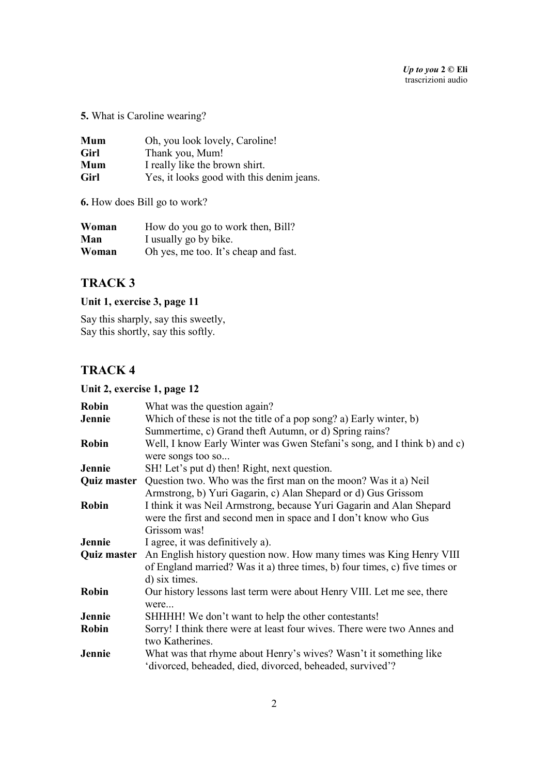**5.** What is Caroline wearing?

| Mum  | Oh, you look lovely, Caroline!            |
|------|-------------------------------------------|
| Girl | Thank you, Mum!                           |
| Mum  | I really like the brown shirt.            |
| Girl | Yes, it looks good with this denim jeans. |

**6.** How does Bill go to work?

| Woman | How do you go to work then, Bill?    |
|-------|--------------------------------------|
| Man   | I usually go by bike.                |
| Woman | Oh yes, me too. It's cheap and fast. |

## **TRACK 3**

# **Unit 1, exercise 3, page 11**

Say this sharply, say this sweetly, Say this shortly, say this softly.

# **TRACK 4**

## **Unit 2, exercise 1, page 12**

| Robin              | What was the question again?                                                                                                                                       |
|--------------------|--------------------------------------------------------------------------------------------------------------------------------------------------------------------|
| Jennie             | Which of these is not the title of a pop song? a) Early winter, b)<br>Summertime, c) Grand theft Autumn, or d) Spring rains?                                       |
| Robin              | Well, I know Early Winter was Gwen Stefani's song, and I think b) and c)<br>were songs too so                                                                      |
| Jennie             | SH! Let's put d) then! Right, next question.                                                                                                                       |
|                    | <b>Quiz master</b> Question two. Who was the first man on the moon? Was it a) Neil<br>Armstrong, b) Yuri Gagarin, c) Alan Shepard or d) Gus Grissom                |
| Robin              | I think it was Neil Armstrong, because Yuri Gagarin and Alan Shepard<br>were the first and second men in space and I don't know who Gus<br>Grissom was!            |
| Jennie             | I agree, it was definitively a).                                                                                                                                   |
| <b>Quiz master</b> | An English history question now. How many times was King Henry VIII<br>of England married? Was it a) three times, b) four times, c) five times or<br>d) six times. |
| Robin              | Our history lessons last term were about Henry VIII. Let me see, there<br>were                                                                                     |
| Jennie             | SHHHH! We don't want to help the other contestants!                                                                                                                |
| Robin              | Sorry! I think there were at least four wives. There were two Annes and<br>two Katherines.                                                                         |
| Jennie             | What was that rhyme about Henry's wives? Wasn't it something like<br>'divorced, beheaded, died, divorced, beheaded, survived'?                                     |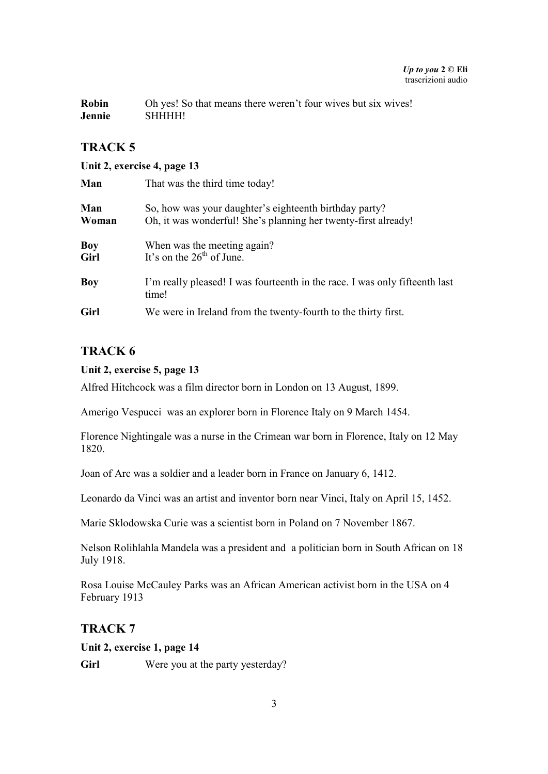#### *Up to you* **2 © Eli**  trascrizioni audio

| <b>Robin</b> | Oh yes! So that means there weren't four wives but six wives! |
|--------------|---------------------------------------------------------------|
| Jennie       | <b>SHHHH!</b>                                                 |

# **TRACK 5**

#### **Unit 2, exercise 4, page 13**

| Man          | That was the third time today!                                                                                           |
|--------------|--------------------------------------------------------------------------------------------------------------------------|
| Man<br>Woman | So, how was your daughter's eighteenth birthday party?<br>Oh, it was wonderful! She's planning her twenty-first already! |
| Boy<br>Girl  | When was the meeting again?<br>It's on the $26th$ of June.                                                               |
| Boy          | I'm really pleased! I was fourteenth in the race. I was only fifteenth last<br>time!                                     |
| Girl         | We were in Ireland from the twenty-fourth to the thirty first.                                                           |

# **TRACK 6**

#### **Unit 2, exercise 5, page 13**

Alfred Hitchcock was a film director born in London on 13 August, 1899.

Amerigo Vespucci was an explorer born in Florence Italy on 9 March 1454.

Florence Nightingale was a nurse in the Crimean war born in Florence, Italy on 12 May 1820.

Joan of Arc was a soldier and a leader born in France on January 6, 1412.

Leonardo da Vinci was an artist and inventor born near Vinci, Italy on April 15, 1452.

Marie Sklodowska Curie was a scientist born in Poland on 7 November 1867.

Nelson Rolihlahla Mandela was a president and a politician born in South African on 18 July 1918.

Rosa Louise McCauley Parks was an African American activist born in the USA on 4 February 1913

## **TRACK 7**

#### **Unit 2, exercise 1, page 14**

Girl Were you at the party yesterday?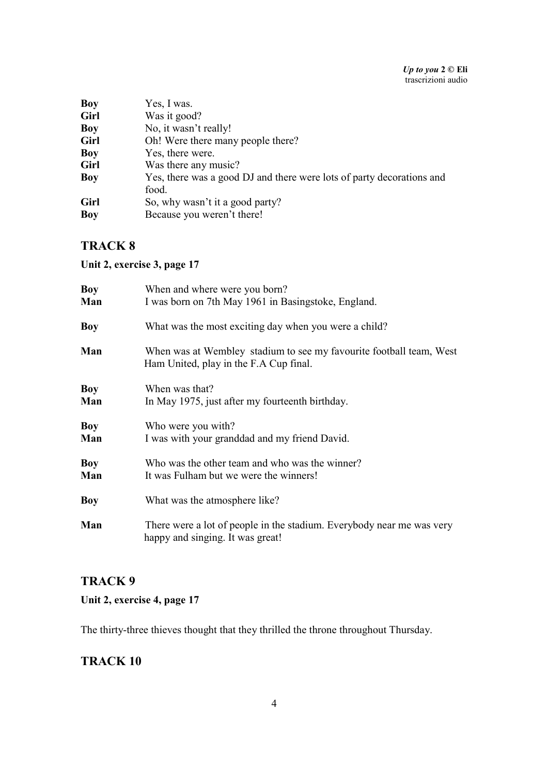| <b>Boy</b> | Yes, I was.                                                           |
|------------|-----------------------------------------------------------------------|
| Girl       | Was it good?                                                          |
| <b>Boy</b> | No, it wasn't really!                                                 |
| Girl       | Oh! Were there many people there?                                     |
| <b>Boy</b> | Yes, there were.                                                      |
| Girl       | Was there any music?                                                  |
| Boy        | Yes, there was a good DJ and there were lots of party decorations and |
|            | food.                                                                 |
| Girl       | So, why wasn't it a good party?                                       |
| Boy        | Because you weren't there!                                            |
|            |                                                                       |

**Unit 2, exercise 3, page 17** 

| <b>Boy</b> | When and where were you born?                                                                                 |
|------------|---------------------------------------------------------------------------------------------------------------|
| Man        | I was born on 7th May 1961 in Basingstoke, England.                                                           |
| <b>Boy</b> | What was the most exciting day when you were a child?                                                         |
| Man        | When was at Wembley stadium to see my favourite football team, West<br>Ham United, play in the F.A Cup final. |
| Boy        | When was that?                                                                                                |
| Man        | In May 1975, just after my fourteenth birthday.                                                               |
| <b>Boy</b> | Who were you with?                                                                                            |
| Man        | I was with your granddad and my friend David.                                                                 |
| <b>Boy</b> | Who was the other team and who was the winner?                                                                |
| Man        | It was Fulham but we were the winners!                                                                        |
| <b>Boy</b> | What was the atmosphere like?                                                                                 |
| Man        | There were a lot of people in the stadium. Everybody near me was very<br>happy and singing. It was great!     |

# **TRACK 9**

# **Unit 2, exercise 4, page 17**

The thirty-three thieves thought that they thrilled the throne throughout Thursday.

# **TRACK 10**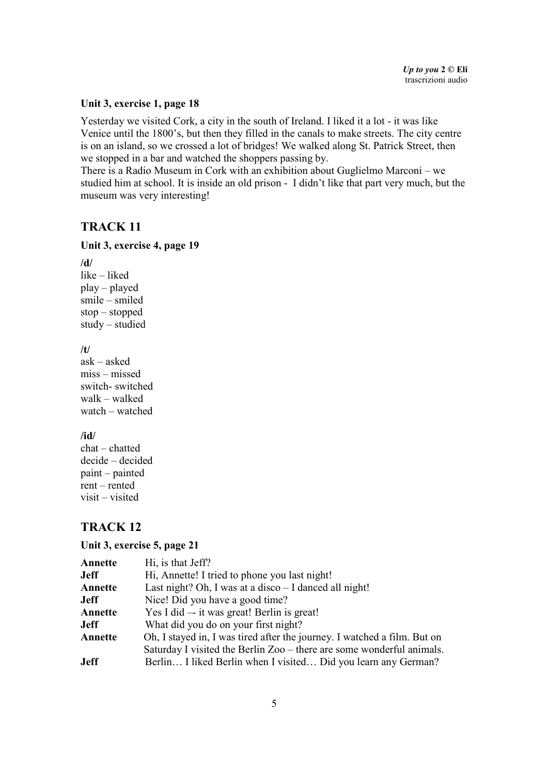#### **Unit 3, exercise 1, page 18**

Yesterday we visited Cork, a city in the south of Ireland. I liked it a lot - it was like Venice until the 1800's, but then they filled in the canals to make streets. The city centre is on an island, so we crossed a lot of bridges! We walked along St. Patrick Street, then we stopped in a bar and watched the shoppers passing by.

There is a Radio Museum in Cork with an exhibition about Guglielmo Marconi – we studied him at school. It is inside an old prison - I didn't like that part very much, but the museum was very interesting!

### **TRACK 11**

#### **Unit 3, exercise 4, page 19**

**/d/** like – liked play – played smile – smiled stop – stopped study – studied **/t/** ask – asked miss – missed switch- switched walk – walked watch – watched

**/id/**

chat – chatted decide – decided paint – painted rent – rented visit – visited

# **TRACK 12**

#### **Unit 3, exercise 5, page 21**

| Annette     | Hi, is that Jeff?                                                        |
|-------------|--------------------------------------------------------------------------|
| Jeff        | Hi, Annette! I tried to phone you last night!                            |
| Annette     | Last night? Oh, I was at a disco $-$ I danced all night!                 |
| Jeff        | Nice! Did you have a good time?                                          |
| Annette     | Yes I did — it was great! Berlin is great!                               |
| Jeff        | What did you do on your first night?                                     |
| Annette     | Oh, I stayed in, I was tired after the journey. I watched a film. But on |
|             | Saturday I visited the Berlin Zoo – there are some wonderful animals.    |
| <b>Jeff</b> | Berlin I liked Berlin when I visited Did you learn any German?           |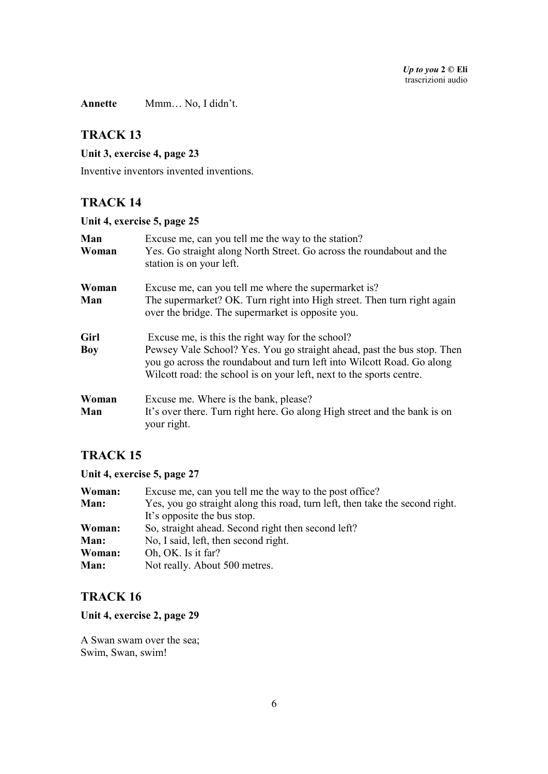**Annette** Mmm… No, I didn't.

## **TRACK 13**

#### **Unit 3, exercise 4, page 23**

Inventive inventors invented inventions.

# **TRACK 14**

# **Unit 4, exercise 5, page 25**

| Man<br>Woman | Excuse me, can you tell me the way to the station?<br>Yes. Go straight along North Street. Go across the roundabout and the<br>station is on your left.                                                                                                                       |
|--------------|-------------------------------------------------------------------------------------------------------------------------------------------------------------------------------------------------------------------------------------------------------------------------------|
| Woman<br>Man | Excuse me, can you tell me where the supermarket is?<br>The supermarket? OK. Turn right into High street. Then turn right again<br>over the bridge. The supermarket is opposite you.                                                                                          |
| Girl<br>Boy  | Excuse me, is this the right way for the school?<br>Pewsey Vale School? Yes. You go straight ahead, past the bus stop. Then<br>you go across the roundabout and turn left into Wilcott Road. Go along<br>Wilcott road: the school is on your left, next to the sports centre. |
| Woman<br>Man | Excuse me. Where is the bank, please?<br>It's over there. Turn right here. Go along High street and the bank is on<br>your right.                                                                                                                                             |

# **TRACK 15**

## **Unit 4, exercise 5, page 27**

| Woman: | Excuse me, can you tell me the way to the post office?                       |
|--------|------------------------------------------------------------------------------|
| Man:   | Yes, you go straight along this road, turn left, then take the second right. |
|        | It's opposite the bus stop.                                                  |
| Woman: | So, straight ahead. Second right then second left?                           |
| Man:   | No, I said, left, then second right.                                         |
| Woman: | Oh, OK. Is it far?                                                           |
| Man:   | Not really. About 500 metres.                                                |

## **TRACK 16**

### **Unit 4, exercise 2, page 29**

A Swan swam over the sea; Swim, Swan, swim!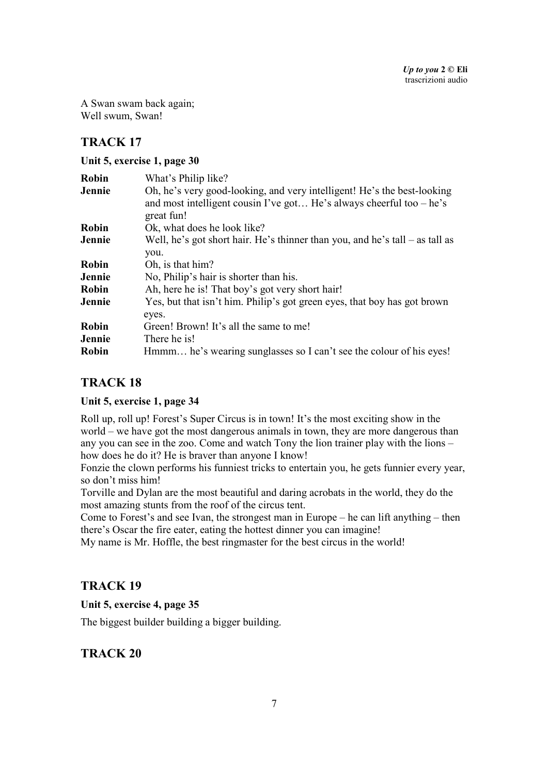A Swan swam back again; Well swum, Swan!

# **TRACK 17**

### **Unit 5, exercise 1, page 30**

| <b>Robin</b> | What's Philip like?                                                                                                                                             |
|--------------|-----------------------------------------------------------------------------------------------------------------------------------------------------------------|
| Jennie       | Oh, he's very good-looking, and very intelligent! He's the best-looking<br>and most intelligent cousin I've got He's always cheerful too $-$ he's<br>great fun! |
| <b>Robin</b> | Ok, what does he look like?                                                                                                                                     |
| Jennie       | Well, he's got short hair. He's thinner than you, and he's tall $-$ as tall as                                                                                  |
|              | you.                                                                                                                                                            |
| <b>Robin</b> | Oh, is that him?                                                                                                                                                |
| Jennie       | No, Philip's hair is shorter than his.                                                                                                                          |
| <b>Robin</b> | Ah, here he is! That boy's got very short hair!                                                                                                                 |
| Jennie       | Yes, but that isn't him. Philip's got green eyes, that boy has got brown<br>eyes.                                                                               |
| Robin        | Green! Brown! It's all the same to me!                                                                                                                          |
| Jennie       | There he is!                                                                                                                                                    |
| Robin        | Hmmm he's wearing sunglasses so I can't see the colour of his eyes!                                                                                             |

# **TRACK 18**

### **Unit 5, exercise 1, page 34**

Roll up, roll up! Forest's Super Circus is in town! It's the most exciting show in the world – we have got the most dangerous animals in town, they are more dangerous than any you can see in the zoo. Come and watch Tony the lion trainer play with the lions – how does he do it? He is braver than anyone I know!

Fonzie the clown performs his funniest tricks to entertain you, he gets funnier every year, so don't miss him!

Torville and Dylan are the most beautiful and daring acrobats in the world, they do the most amazing stunts from the roof of the circus tent.

Come to Forest's and see Ivan, the strongest man in Europe – he can lift anything – then there's Oscar the fire eater, eating the hottest dinner you can imagine!

My name is Mr. Hoffle, the best ringmaster for the best circus in the world!

# **TRACK 19**

**Unit 5, exercise 4, page 35** 

The biggest builder building a bigger building.

# **TRACK 20**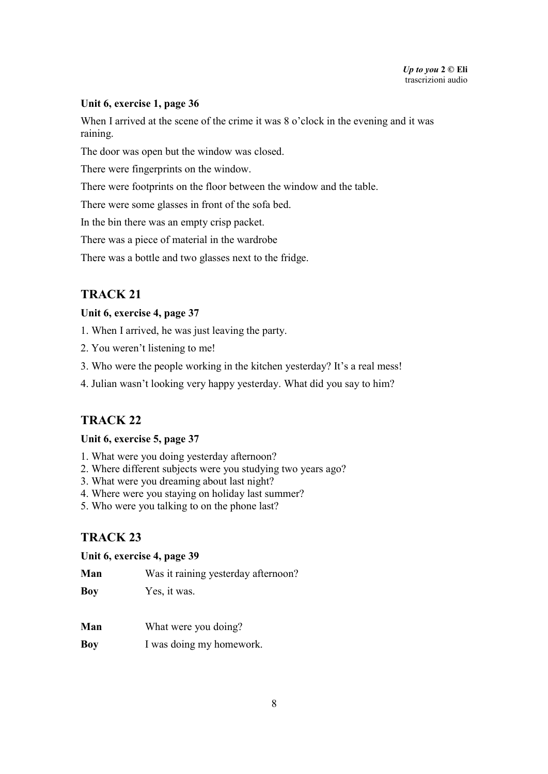### **Unit 6, exercise 1, page 36**

When I arrived at the scene of the crime it was 8 o'clock in the evening and it was raining.

The door was open but the window was closed.

There were fingerprints on the window.

There were footprints on the floor between the window and the table.

There were some glasses in front of the sofa bed.

In the bin there was an empty crisp packet.

There was a piece of material in the wardrobe

There was a bottle and two glasses next to the fridge.

## **TRACK 21**

#### **Unit 6, exercise 4, page 37**

1. When I arrived, he was just leaving the party.

- 2. You weren't listening to me!
- 3. Who were the people working in the kitchen yesterday? It's a real mess!
- 4. Julian wasn't looking very happy yesterday. What did you say to him?

## **TRACK 22**

#### **Unit 6, exercise 5, page 37**

- 1. What were you doing yesterday afternoon?
- 2. Where different subjects were you studying two years ago?
- 3. What were you dreaming about last night?
- 4. Where were you staying on holiday last summer?
- 5. Who were you talking to on the phone last?

# **TRACK 23**

#### **Unit 6, exercise 4, page 39**

| Man |  | Was it raining yesterday afternoon? |
|-----|--|-------------------------------------|
|-----|--|-------------------------------------|

**Boy** Yes, it was.

- **Man** What were you doing?
- **Boy** I was doing my homework.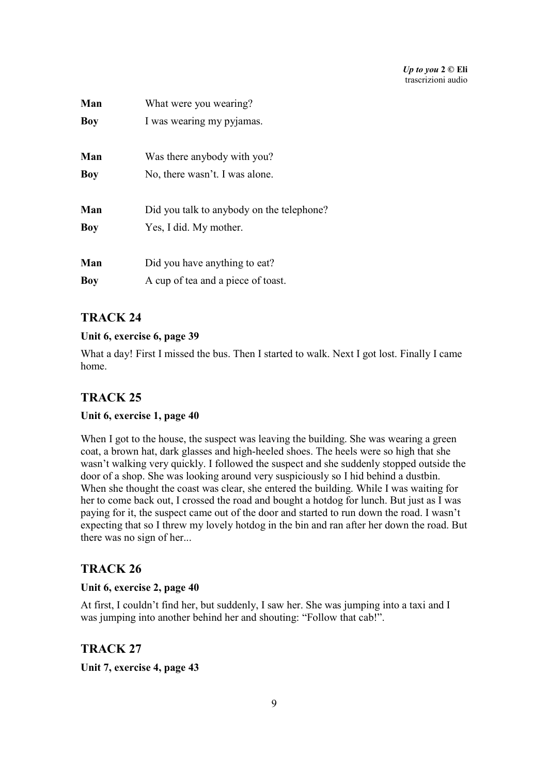| Man        | What were you wearing?                    |
|------------|-------------------------------------------|
| Boy        | I was wearing my pyjamas.                 |
| Man        | Was there anybody with you?               |
| Boy        | No, there wasn't. I was alone.            |
| Man        | Did you talk to anybody on the telephone? |
| <b>Boy</b> | Yes, I did. My mother.                    |
| Man        | Did you have anything to eat?             |
| Boy        | A cup of tea and a piece of toast.        |

### **Unit 6, exercise 6, page 39**

What a day! First I missed the bus. Then I started to walk. Next I got lost. Finally I came home.

# **TRACK 25**

### **Unit 6, exercise 1, page 40**

When I got to the house, the suspect was leaving the building. She was wearing a green coat, a brown hat, dark glasses and high-heeled shoes. The heels were so high that she wasn't walking very quickly. I followed the suspect and she suddenly stopped outside the door of a shop. She was looking around very suspiciously so I hid behind a dustbin. When she thought the coast was clear, she entered the building. While I was waiting for her to come back out, I crossed the road and bought a hotdog for lunch. But just as I was paying for it, the suspect came out of the door and started to run down the road. I wasn't expecting that so I threw my lovely hotdog in the bin and ran after her down the road. But there was no sign of her...

## **TRACK 26**

### **Unit 6, exercise 2, page 40**

At first, I couldn't find her, but suddenly, I saw her. She was jumping into a taxi and I was jumping into another behind her and shouting: "Follow that cab!".

## **TRACK 27**

**Unit 7, exercise 4, page 43**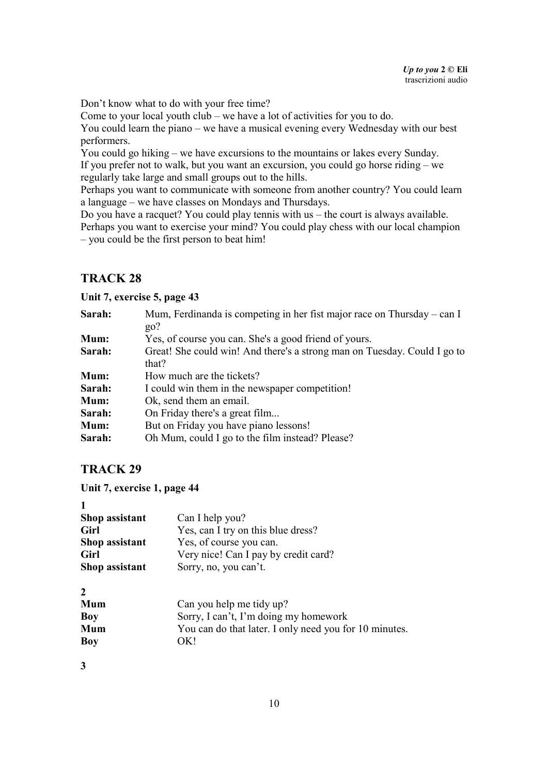Don't know what to do with your free time?

Come to your local youth club – we have a lot of activities for you to do.

You could learn the piano – we have a musical evening every Wednesday with our best performers.

You could go hiking – we have excursions to the mountains or lakes every Sunday. If you prefer not to walk, but you want an excursion, you could go horse riding – we regularly take large and small groups out to the hills.

Perhaps you want to communicate with someone from another country? You could learn a language – we have classes on Mondays and Thursdays.

Do you have a racquet? You could play tennis with us – the court is always available. Perhaps you want to exercise your mind? You could play chess with our local champion – you could be the first person to beat him!

# **TRACK 28**

**Unit 7, exercise 5, page 43** 

| Sarah: | Mum, Ferdinanda is competing in her fist major race on Thursday – can I<br>$g_0$ ? |
|--------|------------------------------------------------------------------------------------|
| Mum:   | Yes, of course you can. She's a good friend of yours.                              |
| Sarah: | Great! She could win! And there's a strong man on Tuesday. Could I go to           |
|        | that?                                                                              |
| Mum:   | How much are the tickets?                                                          |
| Sarah: | I could win them in the newspaper competition!                                     |
| Mum:   | Ok, send them an email.                                                            |
| Sarah: | On Friday there's a great film                                                     |
| Mum:   | But on Friday you have piano lessons!                                              |
| Sarah: | Oh Mum, could I go to the film instead? Please?                                    |

# **TRACK 29**

**Unit 7, exercise 1, page 44** 

| 1              |                                                        |
|----------------|--------------------------------------------------------|
| Shop assistant | Can I help you?                                        |
| Girl           | Yes, can I try on this blue dress?                     |
| Shop assistant | Yes, of course you can.                                |
| Girl           | Very nice! Can I pay by credit card?                   |
| Shop assistant | Sorry, no, you can't.                                  |
| 2              |                                                        |
| Mum            | Can you help me tidy up?                               |
| Boy            | Sorry, I can't, I'm doing my homework                  |
| Mum            | You can do that later. I only need you for 10 minutes. |
| Boy            | OK!                                                    |

**3**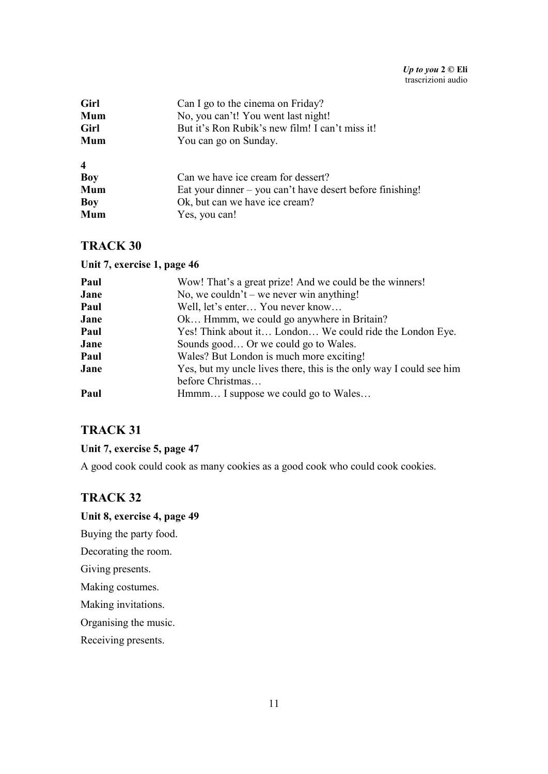| Girl                    | Can I go to the cinema on Friday?                         |
|-------------------------|-----------------------------------------------------------|
| Mum                     | No, you can't! You went last night!                       |
| Girl                    | But it's Ron Rubik's new film! I can't miss it!           |
| Mum                     | You can go on Sunday.                                     |
| $\overline{\mathbf{4}}$ |                                                           |
| <b>Boy</b>              | Can we have ice cream for dessert?                        |
| Mum                     | Eat your dinner – you can't have desert before finishing! |
| Boy                     | Ok, but can we have ice cream?                            |
| Mum                     | Yes, you can!                                             |
|                         |                                                           |

#### **Unit 7, exercise 1, page 46**

| Paul | Wow! That's a great prize! And we could be the winners!             |
|------|---------------------------------------------------------------------|
| Jane | No, we couldn't – we never win anything!                            |
| Paul | Well, let's enter You never know                                    |
| Jane | Ok Hmmm, we could go anywhere in Britain?                           |
| Paul | Yes! Think about it London We could ride the London Eye.            |
| Jane | Sounds good Or we could go to Wales.                                |
| Paul | Wales? But London is much more exciting!                            |
| Jane | Yes, but my uncle lives there, this is the only way I could see him |
|      | before Christmas                                                    |
| Paul | Hmmm I suppose we could go to Wales                                 |
|      |                                                                     |

# **TRACK 31**

## **Unit 7, exercise 5, page 47**

A good cook could cook as many cookies as a good cook who could cook cookies.

## **TRACK 32**

### **Unit 8, exercise 4, page 49**

Buying the party food.

Decorating the room.

Giving presents.

Making costumes.

Making invitations.

Organising the music.

Receiving presents.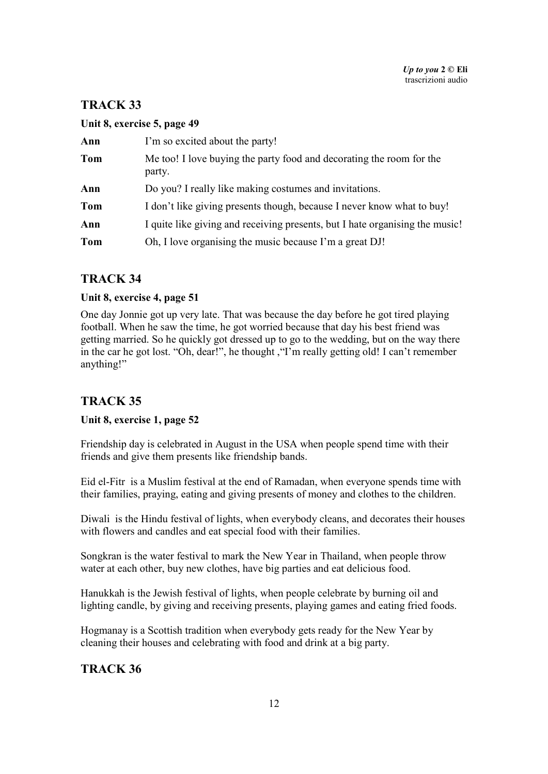### **Unit 8, exercise 5, page 49**

| Ann        | I'm so excited about the party!                                                |
|------------|--------------------------------------------------------------------------------|
| Tom        | Me too! I love buying the party food and decorating the room for the<br>party. |
| Ann        | Do you? I really like making costumes and invitations.                         |
| <b>Tom</b> | I don't like giving presents though, because I never know what to buy!         |
| Ann        | I quite like giving and receiving presents, but I hate organising the music!   |
| Tom        | Oh, I love organising the music because I'm a great DJ!                        |

# **TRACK 34**

### **Unit 8, exercise 4, page 51**

One day Jonnie got up very late. That was because the day before he got tired playing football. When he saw the time, he got worried because that day his best friend was getting married. So he quickly got dressed up to go to the wedding, but on the way there in the car he got lost. "Oh, dear!", he thought ,"I'm really getting old! I can't remember anything!"

# **TRACK 35**

### **Unit 8, exercise 1, page 52**

Friendship day is celebrated in August in the USA when people spend time with their friends and give them presents like friendship bands.

Eid el-Fitr is a Muslim festival at the end of Ramadan, when everyone spends time with their families, praying, eating and giving presents of money and clothes to the children.

Diwali is the Hindu festival of lights, when everybody cleans, and decorates their houses with flowers and candles and eat special food with their families.

Songkran is the water festival to mark the New Year in Thailand, when people throw water at each other, buy new clothes, have big parties and eat delicious food.

Hanukkah is the Jewish festival of lights, when people celebrate by burning oil and lighting candle, by giving and receiving presents, playing games and eating fried foods.

Hogmanay is a Scottish tradition when everybody gets ready for the New Year by cleaning their houses and celebrating with food and drink at a big party.

# **TRACK 36**